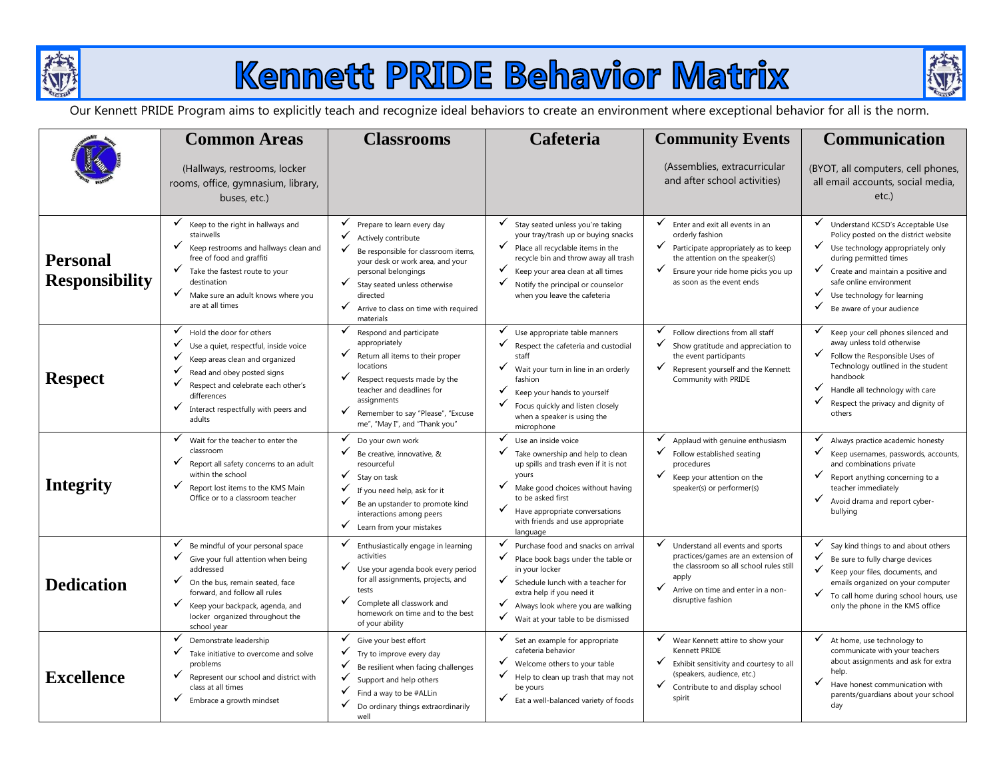

# Kennett PRIDE Behavior Matrix



Our Kennett PRIDE Program aims to explicitly teach and recognize ideal behaviors to create an environment where exceptional behavior for all is the norm.

|                                          | <b>Common Areas</b>                                                                                                                                                                                                                                                | <b>Classrooms</b>                                                                                                                                                                                                                                                                         | Cafeteria                                                                                                                                                                                                                                                                          | <b>Community Events</b>                                                                                                                                                                                                 | Communication                                                                                                                                                                                                                                                                                  |
|------------------------------------------|--------------------------------------------------------------------------------------------------------------------------------------------------------------------------------------------------------------------------------------------------------------------|-------------------------------------------------------------------------------------------------------------------------------------------------------------------------------------------------------------------------------------------------------------------------------------------|------------------------------------------------------------------------------------------------------------------------------------------------------------------------------------------------------------------------------------------------------------------------------------|-------------------------------------------------------------------------------------------------------------------------------------------------------------------------------------------------------------------------|------------------------------------------------------------------------------------------------------------------------------------------------------------------------------------------------------------------------------------------------------------------------------------------------|
|                                          | (Hallways, restrooms, locker<br>rooms, office, gymnasium, library,<br>buses, etc.)                                                                                                                                                                                 |                                                                                                                                                                                                                                                                                           |                                                                                                                                                                                                                                                                                    | (Assemblies, extracurricular<br>and after school activities)                                                                                                                                                            | (BYOT, all computers, cell phones,<br>all email accounts, social media,<br>etc.)                                                                                                                                                                                                               |
| <b>Personal</b><br><b>Responsibility</b> | ✓<br>Keep to the right in hallways and<br>stairwells<br>Keep restrooms and hallways clean and<br>free of food and graffiti<br>✓<br>Take the fastest route to your<br>destination<br>✓<br>Make sure an adult knows where you<br>are at all times                    | Prepare to learn every day<br>✓<br>Actively contribute<br>$\checkmark$ Be responsible for classroom items,<br>your desk or work area, and your<br>personal belongings<br>✓<br>Stay seated unless otherwise<br>directed<br>$\checkmark$ Arrive to class on time with required<br>materials | ✓<br>Stay seated unless you're taking<br>your tray/trash up or buying snacks<br>✓<br>Place all recyclable items in the<br>recycle bin and throw away all trash<br>✓<br>Keep your area clean at all times<br>✓<br>Notify the principal or counselor<br>when you leave the cafeteria | ✓<br>Enter and exit all events in an<br>orderly fashion<br>$\checkmark$ Participate appropriately as to keep<br>the attention on the speaker(s)<br>✓<br>Ensure your ride home picks you up<br>as soon as the event ends | Understand KCSD's Acceptable Use<br>Policy posted on the district website<br>$\checkmark$ Use technology appropriately only<br>during permitted times<br>✔ Create and maintain a positive and<br>safe online environment<br>✓<br>Use technology for learning<br>✓<br>Be aware of your audience |
| <b>Respect</b>                           | ✓<br>Hold the door for others<br>✓<br>Use a quiet, respectful, inside voice<br>Keep areas clean and organized<br>Read and obey posted signs<br>Respect and celebrate each other's<br>differences<br>✓<br>Interact respectfully with peers and<br>adults            | ✓<br>Respond and participate<br>appropriately<br>✓<br>Return all items to their proper<br>locations<br>✓<br>Respect requests made by the<br>teacher and deadlines for<br>assignments<br>✓<br>Remember to say "Please", "Excuse<br>me", "May I", and "Thank you"                           | ✓<br>Use appropriate table manners<br>✓<br>Respect the cafeteria and custodial<br>staff<br>✓<br>Wait your turn in line in an orderly<br>fashion<br>✓<br>Keep your hands to yourself<br>✓<br>Focus quickly and listen closely<br>when a speaker is using the<br>microphone          | ✓<br>Follow directions from all staff<br>✓<br>Show gratitude and appreciation to<br>the event participants<br>✓<br>Represent yourself and the Kennett<br>Community with PRIDE                                           | ✓<br>Keep your cell phones silenced and<br>away unless told otherwise<br>$\checkmark$<br>Follow the Responsible Uses of<br>Technology outlined in the student<br>handbook<br>✓<br>Handle all technology with care<br>✓<br>Respect the privacy and dignity of<br>others                         |
| <b>Integrity</b>                         | ✓<br>Wait for the teacher to enter the<br>classroom<br>Report all safety concerns to an adult<br>within the school<br>✓<br>Report lost items to the KMS Main<br>Office or to a classroom teacher                                                                   | Do your own work<br>Be creative, innovative, &<br>resourceful<br>Stay on task<br>$\checkmark$ If you need help, ask for it<br>$\checkmark$ Be an upstander to promote kind<br>interactions among peers<br>$\checkmark$ Learn from your mistakes                                           | ✓<br>Use an inside voice<br>Take ownership and help to clean<br>up spills and trash even if it is not<br>yours<br>✓<br>Make good choices without having<br>to be asked first<br>✓<br>Have appropriate conversations<br>with friends and use appropriate<br>language                | Applaud with genuine enthusiasm<br>✓<br>Follow established seating<br>procedures<br>✓<br>Keep your attention on the<br>speaker(s) or performer(s)                                                                       | Always practice academic honesty<br>✓<br>Keep usernames, passwords, accounts,<br>and combinations private<br>✓<br>Report anything concerning to a<br>teacher immediately<br>✓<br>Avoid drama and report cyber-<br>bullying                                                                     |
| <b>Dedication</b>                        | ✓<br>Be mindful of your personal space<br>✓<br>Give your full attention when being<br>addressed<br>✓<br>On the bus, remain seated, face<br>forward, and follow all rules<br>✓<br>Keep your backpack, agenda, and<br>locker organized throughout the<br>school year | ✓<br>Enthusiastically engage in learning<br>activities<br>V Use your agenda book every period<br>for all assignments, projects, and<br>tests<br>✓<br>Complete all classwork and<br>homework on time and to the best<br>of your ability                                                    | $\checkmark$<br>Purchase food and snacks on arrival<br>✓<br>Place book bags under the table or<br>in your locker<br>✓<br>Schedule lunch with a teacher for<br>extra help if you need it<br>✓<br>Always look where you are walking<br>✓<br>Wait at your table to be dismissed       | ✓<br>Understand all events and sports<br>practices/games are an extension of<br>the classroom so all school rules still<br>apply<br>✓<br>Arrive on time and enter in a non-<br>disruptive fashion                       | Say kind things to and about others<br>✓<br>Be sure to fully charge devices<br>$\checkmark$<br>Keep your files, documents, and<br>emails organized on your computer<br>$\checkmark$<br>To call home during school hours, use<br>only the phone in the KMS office                               |
| <b>Excellence</b>                        | ✓<br>Demonstrate leadership<br>✓<br>Take initiative to overcome and solve<br>problems<br>✓<br>Represent our school and district with<br>class at all times<br>✓<br>Embrace a growth mindset                                                                        | ✓<br>Give your best effort<br>✓<br>Try to improve every day<br>✓<br>Be resilient when facing challenges<br>$\checkmark$ Support and help others<br>✓<br>Find a way to be #ALLin<br>✓<br>Do ordinary things extraordinarily<br>well                                                        | ✓<br>Set an example for appropriate<br>cafeteria behavior<br>✓<br>Welcome others to your table<br>✓<br>Help to clean up trash that may not<br>be yours<br>✓<br>Eat a well-balanced variety of foods                                                                                | ✓<br>Wear Kennett attire to show your<br>Kennett PRIDE<br>✓<br>Exhibit sensitivity and courtesy to all<br>(speakers, audience, etc.)<br>✓<br>Contribute to and display school<br>spirit                                 | ✓<br>At home, use technology to<br>communicate with your teachers<br>about assignments and ask for extra<br>help.<br>✓<br>Have honest communication with<br>parents/guardians about your school<br>day                                                                                         |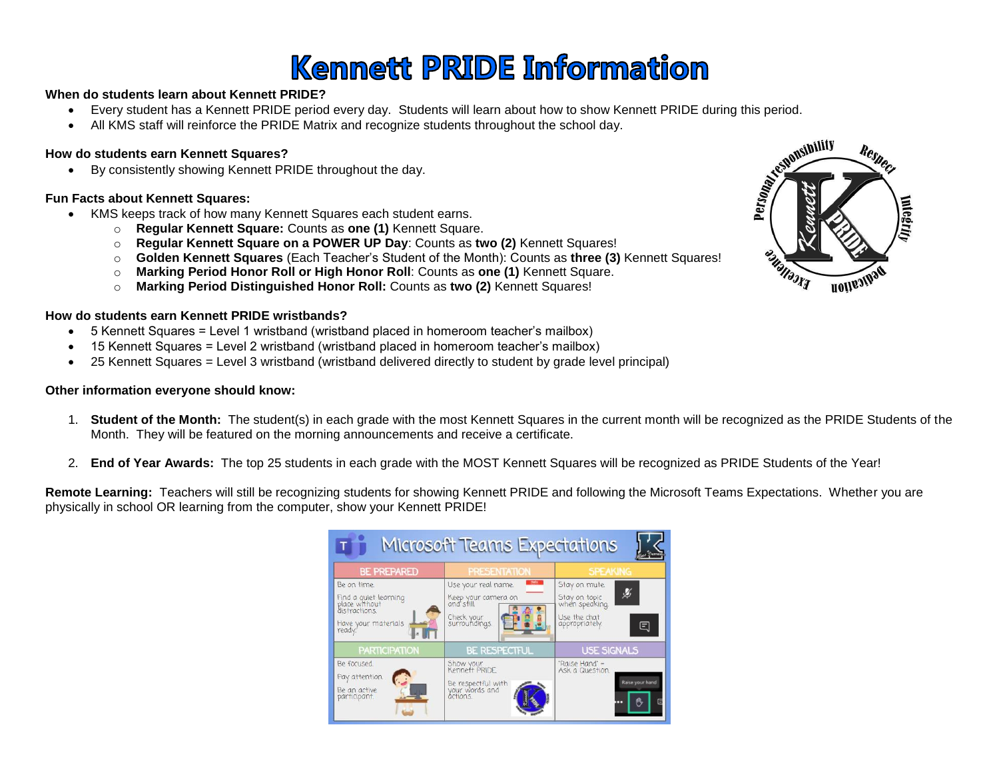### **Kennett PRIDE Information**

### **When do students learn about Kennett PRIDE?**

- Every student has a Kennett PRIDE period every day. Students will learn about how to show Kennett PRIDE during this period.
- All KMS staff will reinforce the PRIDE Matrix and recognize students throughout the school day.

### **How do students earn Kennett Squares?**

By consistently showing Kennett PRIDE throughout the day.

### **Fun Facts about Kennett Squares:**

- KMS keeps track of how many Kennett Squares each student earns.
	- o **Regular Kennett Square:** Counts as **one (1)** Kennett Square.
	- o **Regular Kennett Square on a POWER UP Day**: Counts as **two (2)** Kennett Squares!
	- o **Golden Kennett Squares** (Each Teacher's Student of the Month): Counts as **three (3)** Kennett Squares!
	- o **Marking Period Honor Roll or High Honor Roll**: Counts as **one (1)** Kennett Square.
	- o **Marking Period Distinguished Honor Roll:** Counts as **two (2)** Kennett Squares!

#### **How do students earn Kennett PRIDE wristbands?**

- 5 Kennett Squares = Level 1 wristband (wristband placed in homeroom teacher's mailbox)
- 15 Kennett Squares = Level 2 wristband (wristband placed in homeroom teacher's mailbox)
- 25 Kennett Squares = Level 3 wristband (wristband delivered directly to student by grade level principal)

### **Other information everyone should know:**

- 1. **Student of the Month:** The student(s) in each grade with the most Kennett Squares in the current month will be recognized as the PRIDE Students of the Month. They will be featured on the morning announcements and receive a certificate.
- 2. **End of Year Awards:** The top 25 students in each grade with the MOST Kennett Squares will be recognized as PRIDE Students of the Year!

**Remote Learning:** Teachers will still be recognizing students for showing Kennett PRIDE and following the Microsoft Teams Expectations. Whether you are physically in school OR learning from the computer, show your Kennett PRIDE!



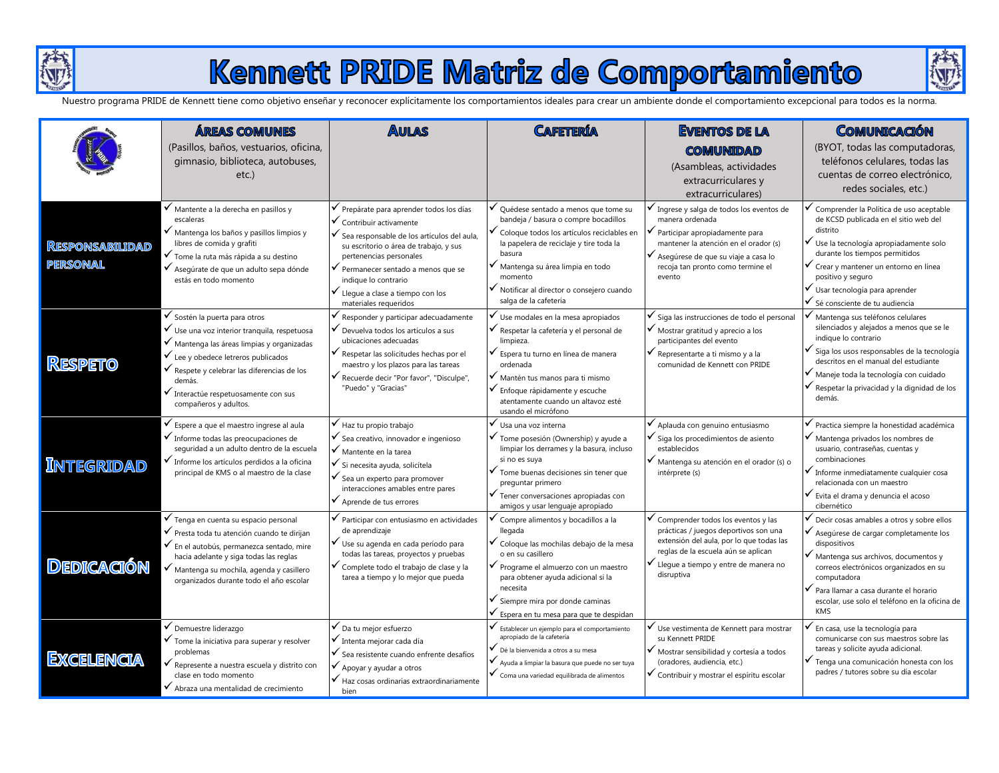

### Kennett PRIDE Matriz de Comportamiento



Nuestro programa PRIDE de Kennett tiene como objetivo enseñar y reconocer explícitamente los comportamientos ideales para crear un ambiente donde el comportamiento excepcional para todos es la norma.

|                                           | <b>ÁREAS COMUNES</b><br>(Pasillos, baños, vestuarios, oficina,<br>gimnasio, biblioteca, autobuses,<br>$etc.$ )                                                                                                                                                                                                                           | <b>AULAS</b>                                                                                                                                                                                                                                                                                                                             | <b>CAFETTERÍA</b>                                                                                                                                                                                                                                                                                                | <b>EVENTOS DE LA</b><br><b>COMUNIDAD</b><br>(Asambleas, actividades<br>extracurriculares y                                                                                                                                                          | COMUNICACIÓN<br>(BYOT, todas las computadoras,<br>teléfonos celulares, todas las<br>cuentas de correo electrónico,<br>redes sociales, etc.)                                                                                                                                                                                           |
|-------------------------------------------|------------------------------------------------------------------------------------------------------------------------------------------------------------------------------------------------------------------------------------------------------------------------------------------------------------------------------------------|------------------------------------------------------------------------------------------------------------------------------------------------------------------------------------------------------------------------------------------------------------------------------------------------------------------------------------------|------------------------------------------------------------------------------------------------------------------------------------------------------------------------------------------------------------------------------------------------------------------------------------------------------------------|-----------------------------------------------------------------------------------------------------------------------------------------------------------------------------------------------------------------------------------------------------|---------------------------------------------------------------------------------------------------------------------------------------------------------------------------------------------------------------------------------------------------------------------------------------------------------------------------------------|
| <b>RESPONSABILIDAD</b><br><b>PERSONAL</b> | ✔ Mantente a la derecha en pasillos y<br>escaleras<br>V Mantenga los baños y pasillos limpios y<br>libres de comida y grafiti<br>√ Tome la ruta más rápida a su destino<br>√ Asegúrate de que un adulto sepa dónde<br>estás en todo momento                                                                                              | Prepárate para aprender todos los días<br>$\checkmark$ Contribuir activamente<br>√ Sea responsable de los artículos del aula,<br>su escritorio o área de trabajo, y sus<br>pertenencias personales<br>Permanecer sentado a menos que se<br>indique lo contrario<br>$\checkmark$ Lleque a clase a tiempo con los<br>materiales requeridos | Quédese sentado a menos que tome su<br>bandeja / basura o compre bocadillos<br>✔ Coloque todos los artículos reciclables en<br>la papelera de reciclaje y tire toda la<br>basura<br>$\checkmark$ Mantenga su área limpia en todo<br>momento<br>Notificar al director o consejero cuando<br>salga de la cafetería | extracurriculares)<br>Ingrese y salga de todos los eventos de<br>manera ordenada<br>Participar apropiadamente para<br>mantener la atención en el orador (s)<br>✔ Asegúrese de que su viaje a casa lo<br>recoja tan pronto como termine el<br>evento | Comprender la Política de uso aceptable<br>de KCSD publicada en el sitio web del<br>distrito<br>√ Use la tecnología apropiadamente solo<br>durante los tiempos permitidos<br>√ Crear y mantener un entorno en línea<br>positivo y seguro<br>Usar tecnología para aprender<br>Sé consciente de tu audiencia                            |
| <b>RESPETO</b>                            | $\checkmark$ Sostén la puerta para otros<br>√ Use una voz interior tranquila, respetuosa<br>✔ Mantenga las áreas limpias y organizadas<br>$\checkmark$ Lee y obedece letreros publicados<br>$\checkmark$ Respete y celebrar las diferencias de los<br>demás.<br>$\checkmark$ Interactúe respetuosamente con sus<br>compañeros y adultos. | Responder y participar adecuadamente<br>Devuelva todos los artículos a sus<br>ubicaciones adecuadas<br>$\checkmark$ Respetar las solicitudes hechas por el<br>maestro y los plazos para las tareas<br>√ Recuerde decir "Por favor", "Disculpe",<br>"Puedo" y "Gracias"                                                                   | √ Use modales en la mesa apropiados<br>√ Respetar la cafetería y el personal de<br>limpieza.<br>✔ Espera tu turno en línea de manera<br>ordenada<br>✔ Mantén tus manos para ti mismo<br>$\checkmark$ Enfoque rápidamente y escuche<br>atentamente cuando un altavoz esté<br>usando el micrófono                  | Siga las instrucciones de todo el personal<br>✔ Mostrar gratitud y aprecio a los<br>participantes del evento<br>$\checkmark$ Representarte a ti mismo y a la<br>comunidad de Kennett con PRIDE                                                      | Mantenga sus teléfonos celulares<br>silenciados y alejados a menos que se le<br>indique lo contrario<br>✔ Siga los usos responsables de la tecnología<br>descritos en el manual del estudiante<br>√ Maneje toda la tecnología con cuidado<br>Respetar la privacidad y la dignidad de los<br>demás.                                    |
| <b>INTEGRIDAD</b>                         | $\checkmark$ Espere a que el maestro ingrese al aula<br>$\checkmark$ Informe todas las preocupaciones de<br>seguridad a un adulto dentro de la escuela<br>$\checkmark$ Informe los artículos perdidos a la oficina<br>principal de KMS o al maestro de la clase                                                                          | Haz tu propio trabajo<br>$\checkmark$ Sea creativo, innovador e ingenioso<br>$\checkmark$ Mantente en la tarea<br>$\checkmark$ Si necesita ayuda, solicítela<br>$\checkmark$ Sea un experto para promover<br>interacciones amables entre pares<br>$\checkmark$ Aprende de tus errores                                                    | ✔ Usa una voz interna<br>✔ Tome posesión (Ownership) y ayude a<br>limpiar los derrames y la basura, incluso<br>si no es suya<br>$\checkmark$ Tome buenas decisiones sin tener que<br>preguntar primero<br>$\checkmark$ Tener conversaciones apropiadas con<br>amigos y usar lenguaje apropiado                   | $\checkmark$ Aplauda con genuino entusiasmo<br>$\checkmark$ Siga los procedimientos de asiento<br>establecidos<br>√ Mantenga su atención en el orador (s) o<br>intérprete (s)                                                                       | Practica siempre la honestidad académica<br>✔ Mantenga privados los nombres de<br>usuario, contraseñas, cuentas y<br>combinaciones<br>$\checkmark$ Informe inmediatamente cualquier cosa<br>relacionada con un maestro<br>$\checkmark$ Evita el drama y denuncia el acoso<br>cibernético                                              |
| <b>DEDICACIÓN</b>                         | $\checkmark$ Tenga en cuenta su espacio personal<br>✔ Presta toda tu atención cuando te dirijan<br>✔ En el autobús, permanezca sentado, mire<br>hacia adelante y siga todas las reglas<br>Mantenga su mochila, agenda y casillero<br>organizados durante todo el año escolar                                                             | Participar con entusiasmo en actividades<br>de aprendizaje<br>√ Use su agenda en cada período para<br>todas las tareas, proyectos y pruebas<br>✔ Complete todo el trabajo de clase y la<br>tarea a tiempo y lo mejor que pueda                                                                                                           | Compre alimentos y bocadillos a la<br>llegada<br>✔ Coloque las mochilas debajo de la mesa<br>o en su casillero<br>✔ Programe el almuerzo con un maestro<br>para obtener ayuda adicional si la<br>necesita<br>$\checkmark$ Siempre mira por donde caminas<br>Espera en tu mesa para que te despidan               | Comprender todos los eventos y las<br>prácticas / juegos deportivos son una<br>extensión del aula, por lo que todas las<br>reglas de la escuela aún se aplican<br>✔ Llegue a tiempo y entre de manera no<br>disruptiva                              | Decir cosas amables a otros y sobre ellos<br>$\checkmark$ Asegúrese de cargar completamente los<br>dispositivos<br>$\checkmark$ Mantenga sus archivos, documentos y<br>correos electrónicos organizados en su<br>computadora<br>Para llamar a casa durante el horario<br>escolar, use solo el teléfono en la oficina de<br><b>KMS</b> |
| <b>EXCELENCIA</b>                         | ✔ Demuestre liderazgo<br>$\checkmark$ Tome la iniciativa para superar y resolver<br>problemas<br>Represente a nuestra escuela y distrito con<br>clase en todo momento<br>◆ Abraza una mentalidad de crecimiento                                                                                                                          | $\checkmark$ Da tu mejor esfuerzo<br>✔ Intenta mejorar cada día<br>✔ Sea resistente cuando enfrente desafíos<br>$\checkmark$ Apoyar y ayudar a otros<br>$\checkmark$ Haz cosas ordinarias extraordinariamente<br>bien                                                                                                                    | Establecer un ejemplo para el comportamiento<br>apropiado de la cafetería<br>✔ Dé la bienvenida a otros a su mesa<br>Ayuda a limpiar la basura que puede no ser tuya<br>$\checkmark$ Coma una variedad equilibrada de alimentos                                                                                  | Use vestimenta de Kennett para mostrar<br>su Kennett PRIDE<br>✔ Mostrar sensibilidad y cortesía a todos<br>(oradores, audiencia, etc.)<br>Contribuir y mostrar el espíritu escolar                                                                  | En casa, use la tecnología para<br>comunicarse con sus maestros sobre las<br>tareas y solicite ayuda adicional.<br>✔ Tenga una comunicación honesta con los<br>padres / tutores sobre su día escolar                                                                                                                                  |